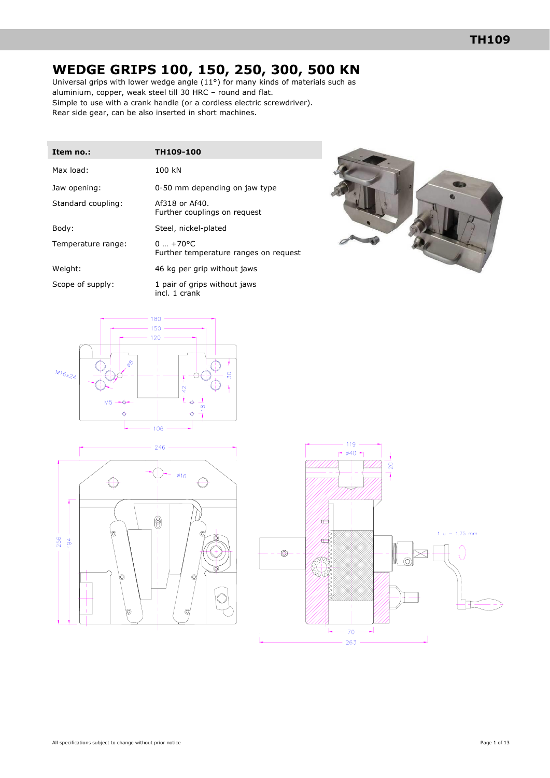# **WEDGE GRIPS 100, 150, 250, 300, 500 KN**

Universal grips with lower wedge angle  $(11^{\circ})$  for many kinds of materials such as aluminium, copper, weak steel till 30 HRC – round and flat. Simple to use with a crank handle (or a cordless electric screwdriver). Rear side gear, can be also inserted in short machines.

| Item no.:          | TH109-100                                              |
|--------------------|--------------------------------------------------------|
| Max load:          | 100 kN                                                 |
| Jaw opening:       | 0-50 mm depending on jaw type                          |
| Standard coupling: | Af318 or Af40.<br>Further couplings on request         |
| Body:              | Steel, nickel-plated                                   |
| Temperature range: | $0.7 + 70$ °C<br>Further temperature ranges on request |
| Weight:            | 46 kg per grip without jaws                            |
| Scope of supply:   | 1 pair of grips without jaws<br>incl. 1 crank          |







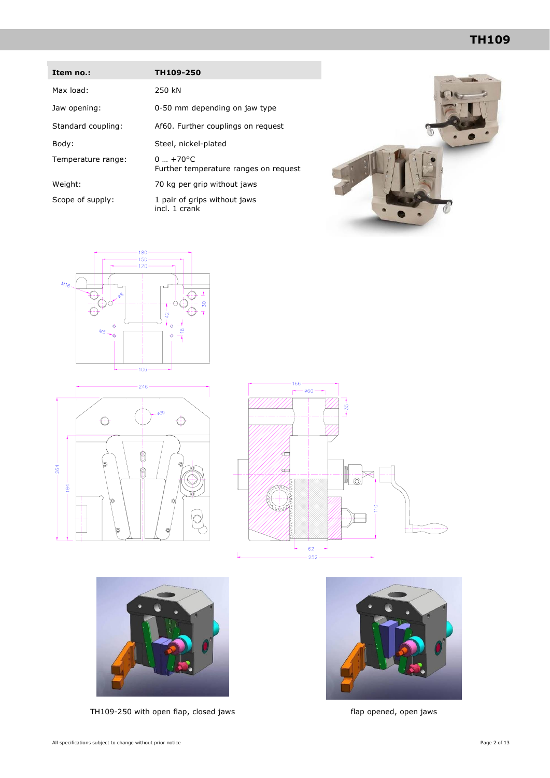| Item no.:          | TH109-250                                          |
|--------------------|----------------------------------------------------|
| Max load:          | 250 kN                                             |
| Jaw opening:       | 0-50 mm depending on jaw type                      |
| Standard coupling: | Af60. Further couplings on request                 |
| Body:              | Steel, nickel-plated                               |
| Temperature range: | $0+70$ °C<br>Further temperature ranges on request |
| Weight:            | 70 kg per grip without jaws                        |
| Scope of supply:   | 1 pair of grips without jaws<br>incl. 1 crank      |











TH109-250 with open flap, closed jaws flap opened, open jaws

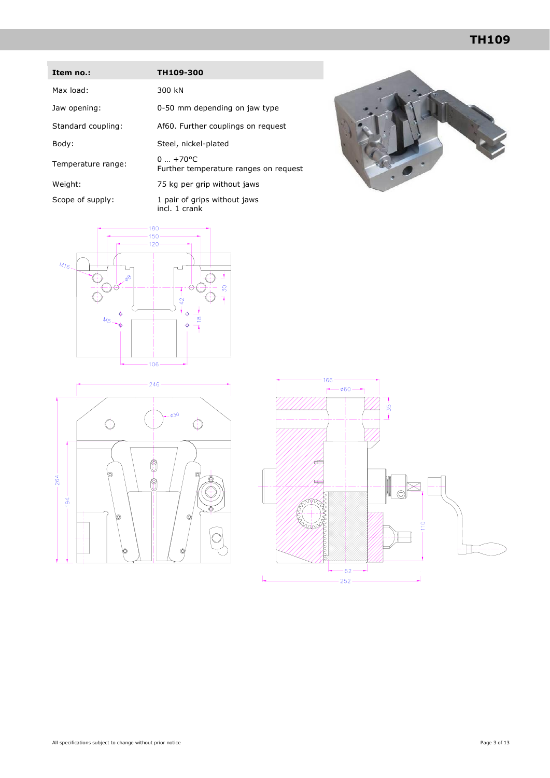| Item no.:          | TH109-300                                                         |
|--------------------|-------------------------------------------------------------------|
| Max load:          | 300 kN                                                            |
| Jaw opening:       | 0-50 mm depending on jaw type                                     |
| Standard coupling: | Af60. Further couplings on request                                |
| Body:              | Steel, nickel-plated                                              |
| Temperature range: | $0  + 70$ <sup>o</sup> C<br>Further temperature ranges on request |
| Weight:            | 75 kg per grip without jaws                                       |
| Scope of supply:   | 1 pair of grips without jaws<br>incl. 1 crank                     |









 $-35 -$ 

 $-060$   $-$ 

 $-264 -$ 

 $-194 -$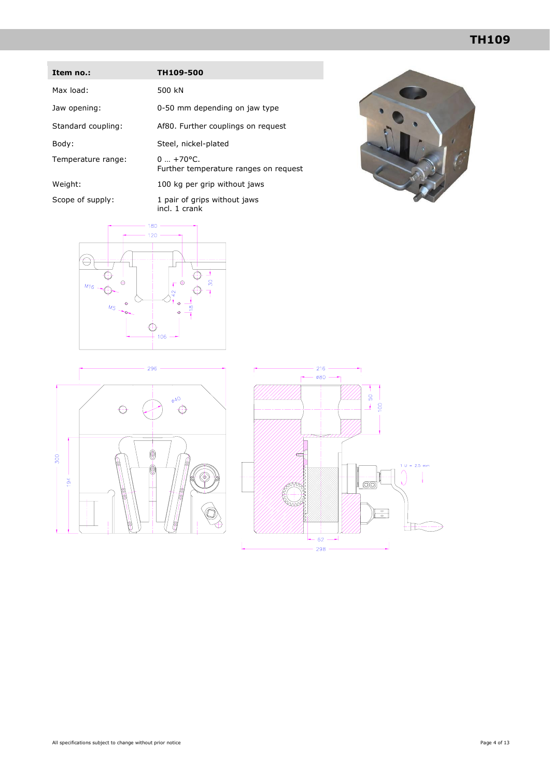# **TH109**

| Item no.:          | TH109-500                                             |
|--------------------|-------------------------------------------------------|
| Max load:          | 500 kN                                                |
| Jaw opening:       | 0-50 mm depending on jaw type                         |
| Standard coupling: | Af80. Further couplings on request                    |
| Body:              | Steel, nickel-plated                                  |
| Temperature range: | $0 + 70$ °C.<br>Further temperature ranges on request |
| Weight:            | 100 kg per grip without jaws                          |
| Scope of supply:   | 1 pair of grips without jaws<br>incl. 1 crank         |







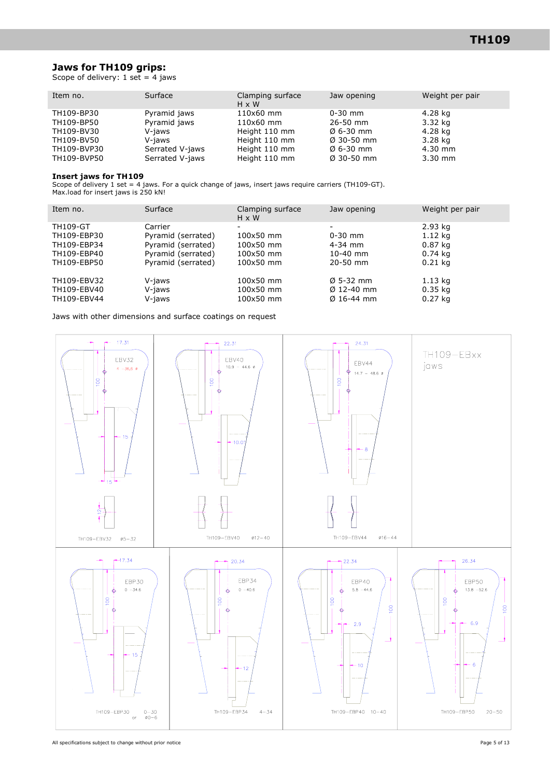### **Jaws for TH109 grips:**

Scope of delivery:  $1$  set = 4 jaws

| Item no.    | Surface         | Clamping surface<br>$H \times W$ | Jaw opening            | Weight per pair |
|-------------|-----------------|----------------------------------|------------------------|-----------------|
| TH109-BP30  | Pyramid jaws    | 110x60 mm                        | $0 - 30$ mm            | 4.28 kg         |
| TH109-BP50  | Pyramid jaws    | 110x60 mm                        | $26 - 50$ mm           | 3.32 kg         |
| TH109-BV30  | V-jaws          | Height 110 mm                    | $\emptyset$ 6-30 mm    | 4.28 kg         |
| TH109-BV50  | V-iaws          | Height 110 mm                    | $\varnothing$ 30-50 mm | 3.28 kg         |
| TH109-BVP30 | Serrated V-jaws | Height 110 mm                    | $\emptyset$ 6-30 mm    | $4.30$ mm       |
| TH109-BVP50 | Serrated V-jaws | Height 110 mm                    | $\varnothing$ 30-50 mm | $3.30$ mm       |

#### **Insert jaws for TH109**

Scope of delivery 1 set = 4 jaws. For a quick change of jaws, insert jaws require carriers (TH109-GT). Max.load for insert jaws is 250 kN!

| Item no.                                  | Surface                    | Clamping surface<br>$H \times W$    | Jaw opening                                                   | Weight per pair                   |
|-------------------------------------------|----------------------------|-------------------------------------|---------------------------------------------------------------|-----------------------------------|
| <b>TH109-GT</b>                           | Carrier                    |                                     |                                                               | 2.93 kg                           |
| TH109-EBP30                               | Pyramid (serrated)         | 100x50 mm                           | $0 - 30$ mm                                                   | 1.12 kg                           |
| TH109-EBP34                               | Pyramid (serrated)         | 100x50 mm                           | $4 - 34$ mm                                                   | $0.87$ kg                         |
| TH109-EBP40                               | Pyramid (serrated)         | 100x50 mm                           | $10-40$ mm                                                    | $0.74$ kg                         |
| TH109-EBP50                               | Pyramid (serrated)         | 100x50 mm                           | $20 - 50$ mm                                                  | $0.21$ kg                         |
| TH109-EBV32<br>TH109-EBV40<br>TH109-EBV44 | V-jaws<br>V-jaws<br>V-jaws | 100x50 mm<br>100x50 mm<br>100x50 mm | $\varnothing$ 5-32 mm<br>$\emptyset$ 12-40 mm<br>$Ø$ 16-44 mm | 1.13 kg<br>$0.35$ kg<br>$0.27$ kg |
|                                           |                            |                                     |                                                               |                                   |

Jaws with other dimensions and surface coatings on request

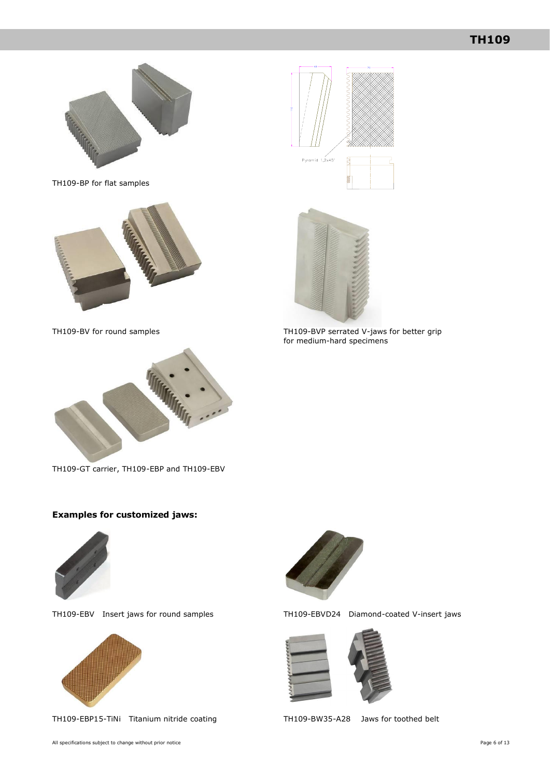

TH109-BP for flat samples







TH109-BV for round samples TH109-BVP serrated V-jaws for better grip for medium-hard specimens



TH109-GT carrier, TH109-EBP and TH109-EBV

### **Examples for customized jaws:**





TH109-EBP15-TiNi Titanium nitride coating TH109-BW35-A28 Jaws for toothed belt



TH109-EBV Insert jaws for round samples TH109-EBVD24 Diamond-coated V-insert jaws

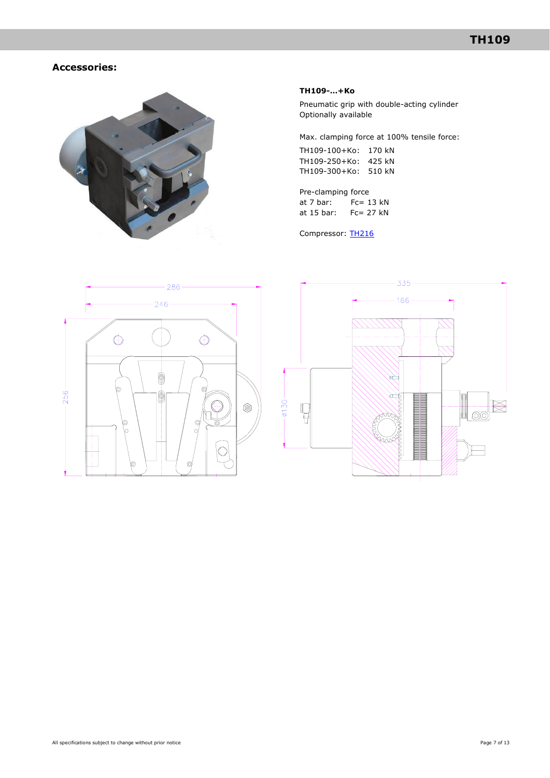## **Accessories:**



#### **TH109-…+Ko**

Pneumatic grip with double-acting cylinder Optionally available

Max. clamping force at 100% tensile force:

TH109-100+Ko: 170 kN TH109-250+Ko: 425 kN TH109-300+Ko: 510 kN

Pre-clamping force at 7 bar: Fc= 13 kN at 15 bar: Fc= 27 kN

Compressor: [TH216](http://www.grip.de/pdf/TH216_Datasheet.pdf)



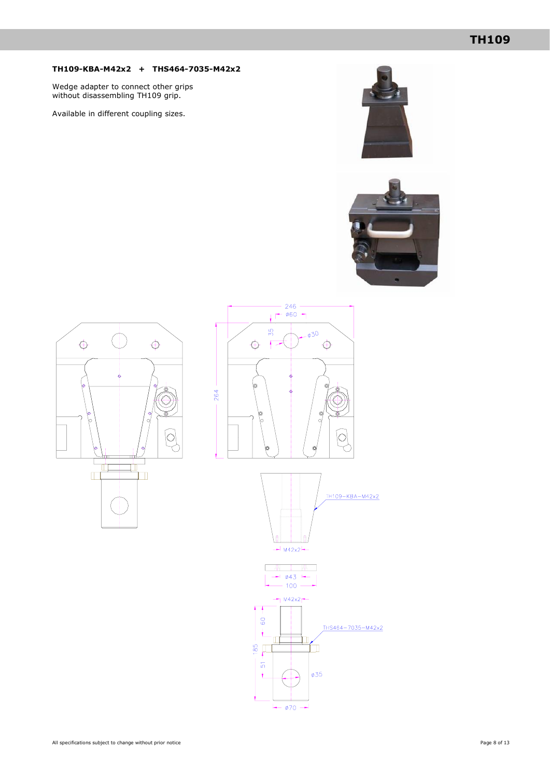### **TH109-KBA-M42x2 + THS464-7035-M42x2**

Wedge adapter to connect other grips without disassembling TH109 grip.

Available in different coupling sizes.











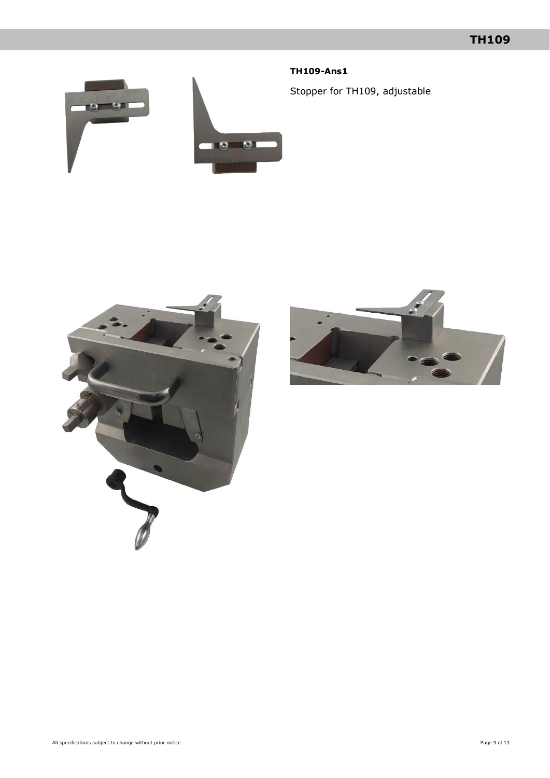## **TH109-Ans1**

Stopper for TH109, adjustable





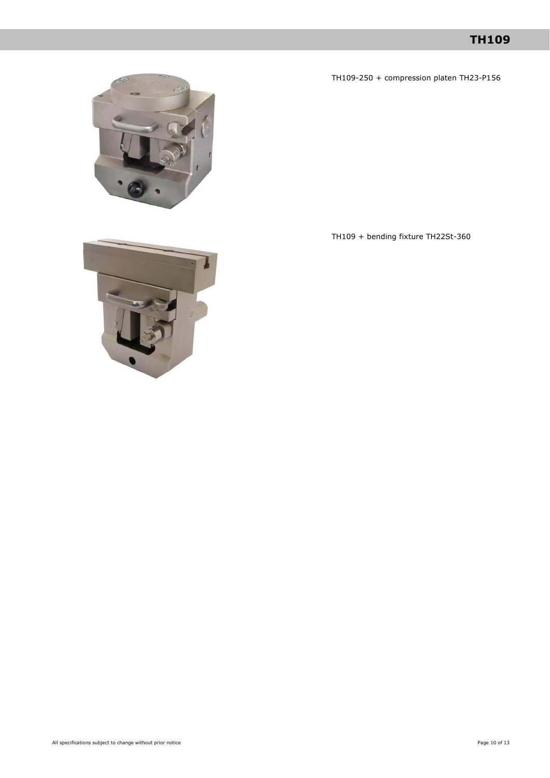## **TH109**

TH109-250 + compression platen TH23-P156



TH109 + bending fixture TH22St-360

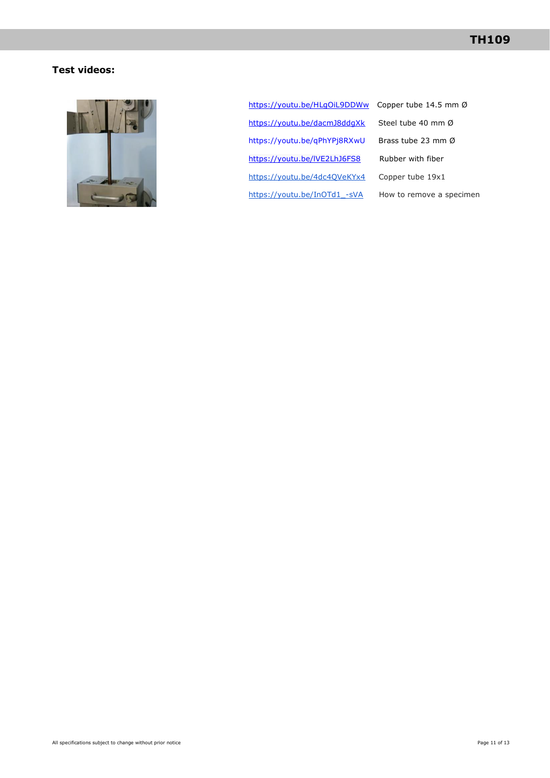## **Test videos:**



<https://youtu.be/HLgOiL9DDWw>Copper tube 14.5 mm Ø <https://youtu.be/dacmJ8ddgXk>Steel tube 40 mm Ø <https://youtu.be/qPhYPj8RXwU>Brass tube 23 mm Ø https://youtu.be/IVE2LhJ6FS8 Rubber with fiber <https://youtu.be/4dc4QVeKYx4>Copper tube 19x1 https://youtu.be/InOTd1 -sVA How to remove a specimen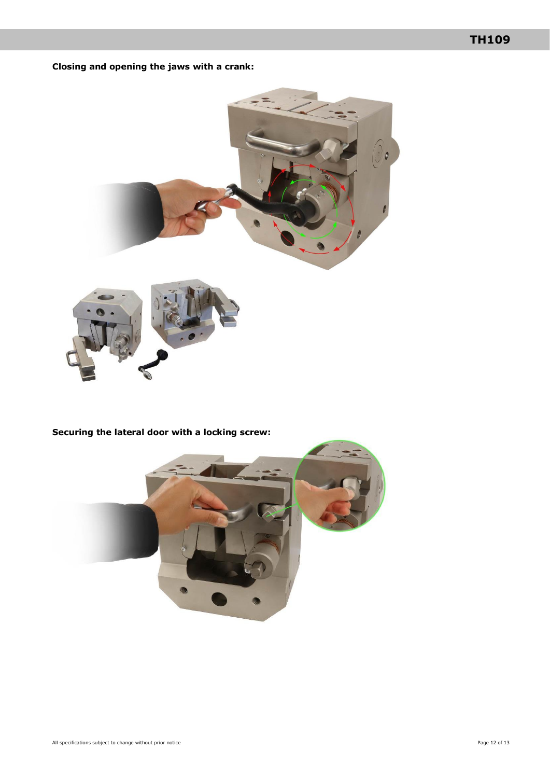## **Closing and opening the jaws with a crank:**



**Securing the lateral door with a locking screw:**